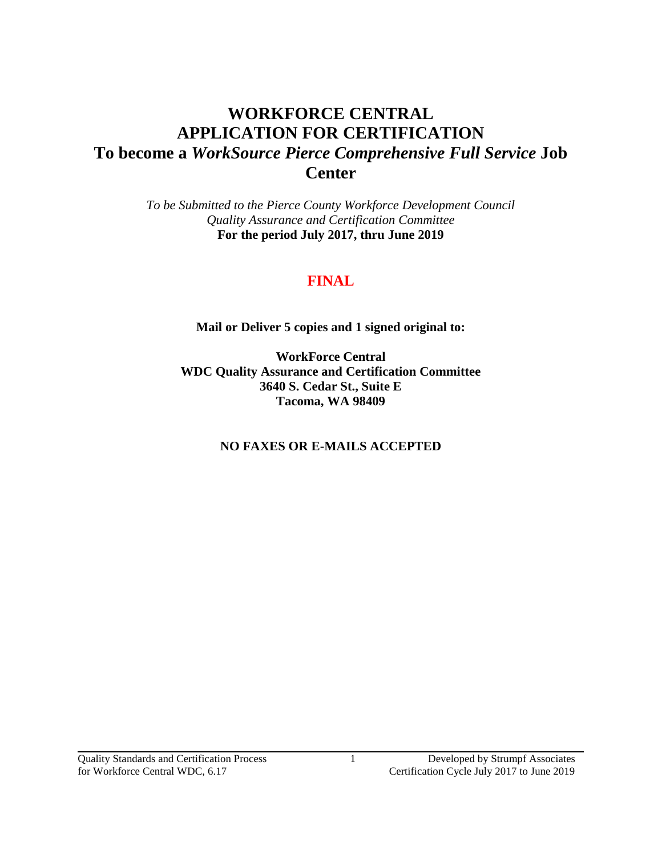# **WORKFORCE CENTRAL APPLICATION FOR CERTIFICATION To become a** *WorkSource Pierce Comprehensive Full Service* **Job Center**

*To be Submitted to the Pierce County Workforce Development Council Quality Assurance and Certification Committee*  **For the period July 2017, thru June 2019**

# **FINAL**

**Mail or Deliver 5 copies and 1 signed original to:**

**WorkForce Central WDC Quality Assurance and Certification Committee 3640 S. Cedar St., Suite E Tacoma, WA 98409**

**NO FAXES OR E-MAILS ACCEPTED**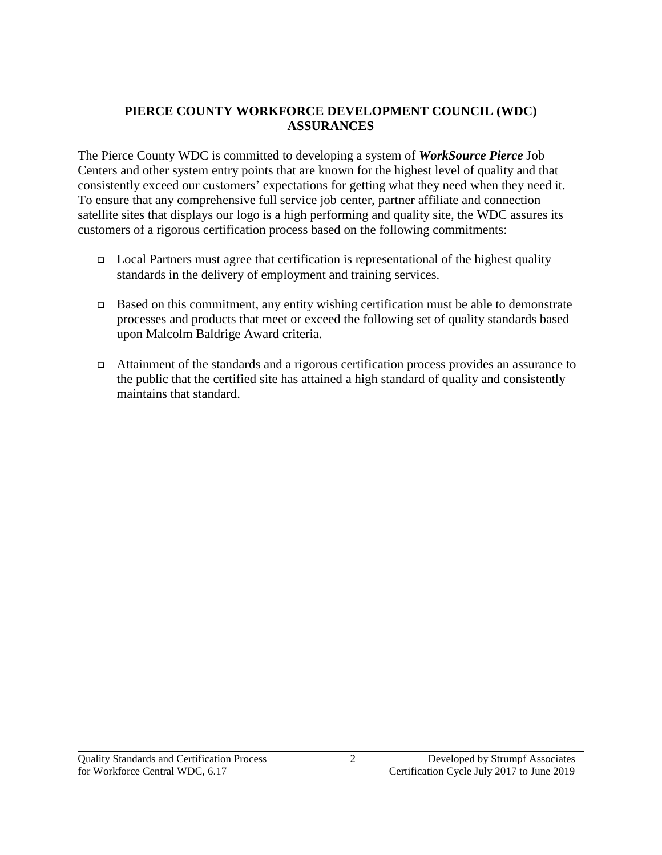# **PIERCE COUNTY WORKFORCE DEVELOPMENT COUNCIL (WDC) ASSURANCES**

The Pierce County WDC is committed to developing a system of *WorkSource Pierce* Job Centers and other system entry points that are known for the highest level of quality and that consistently exceed our customers' expectations for getting what they need when they need it. To ensure that any comprehensive full service job center, partner affiliate and connection satellite sites that displays our logo is a high performing and quality site, the WDC assures its customers of a rigorous certification process based on the following commitments:

- $\Box$  Local Partners must agree that certification is representational of the highest quality standards in the delivery of employment and training services.
- $\Box$  Based on this commitment, any entity wishing certification must be able to demonstrate processes and products that meet or exceed the following set of quality standards based upon Malcolm Baldrige Award criteria.
- Attainment of the standards and a rigorous certification process provides an assurance to the public that the certified site has attained a high standard of quality and consistently maintains that standard.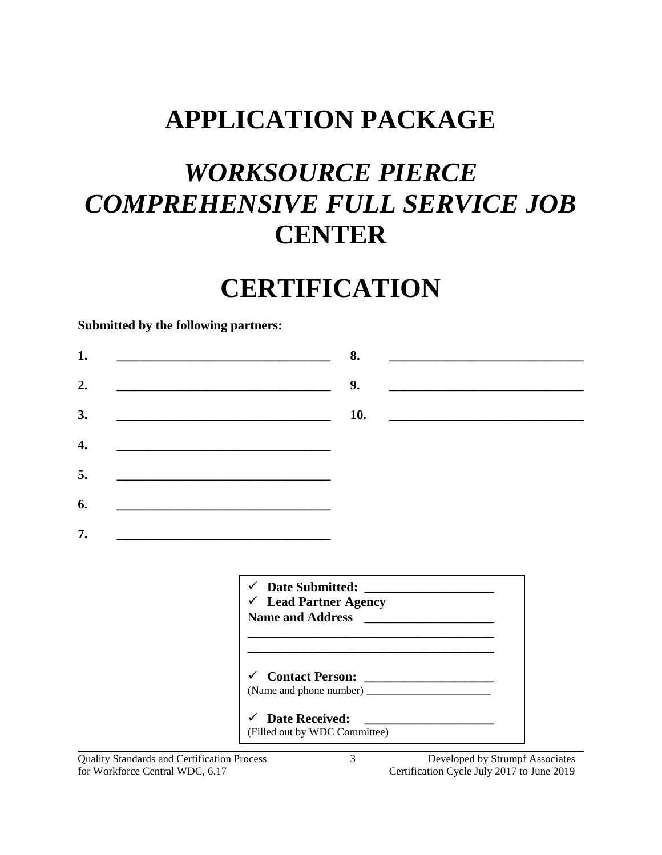# **APPLICATION PACKAGE**

# *WORKSOURCE PIERCE COMPREHENSIVE FULL SERVICE JOB*  **CENTER**

# **CERTIFICATION**

#### **Submitted by the following partners:**

|  | <u> 1989 - Jan James James, politik eta idazleari (h. 1982).</u>                                                     | 8.                                                                                                               |  |                                                           |
|--|----------------------------------------------------------------------------------------------------------------------|------------------------------------------------------------------------------------------------------------------|--|-----------------------------------------------------------|
|  | <u> 1989 - Johann Barbara, martxa alemaniar amerikan personal (h. 1989).</u>                                         | 9.                                                                                                               |  |                                                           |
|  | <u> La Carlo Carlo Carlo Carlo Carlo Carlo Carlo Carlo Carlo Carlo Carlo Carlo Carlo Carlo Carlo Carlo Carlo Car</u> | 10.                                                                                                              |  | <u> 1980 - Andrea Brand, amerikansk politik (d. 1980)</u> |
|  |                                                                                                                      |                                                                                                                  |  |                                                           |
|  | the contract of the contract of the contract of the contract of the contract of the contract of                      |                                                                                                                  |  |                                                           |
|  |                                                                                                                      |                                                                                                                  |  |                                                           |
|  |                                                                                                                      |                                                                                                                  |  |                                                           |
|  |                                                                                                                      |                                                                                                                  |  |                                                           |
|  |                                                                                                                      |                                                                                                                  |  |                                                           |
|  |                                                                                                                      |                                                                                                                  |  |                                                           |
|  | <u> 1989 - Johann Barbara, martin amerikan basar dan berasal dalam basa dalam basar dalam basar dalam basa dalam</u> |                                                                                                                  |  |                                                           |
|  |                                                                                                                      |                                                                                                                  |  |                                                           |
|  |                                                                                                                      |                                                                                                                  |  |                                                           |
|  | $\checkmark$                                                                                                         |                                                                                                                  |  |                                                           |
|  | $\checkmark$ Lead Partner Agency<br>Name and Address <b>Name and Address</b>                                         |                                                                                                                  |  |                                                           |
|  |                                                                                                                      | and the control of the control of the control of the control of the control of the control of the control of the |  |                                                           |
|  |                                                                                                                      |                                                                                                                  |  |                                                           |
|  |                                                                                                                      |                                                                                                                  |  |                                                           |
|  | V Contact Person:                                                                                                    |                                                                                                                  |  |                                                           |
|  | <b>Date Received:</b><br>$\checkmark$                                                                                |                                                                                                                  |  |                                                           |

Quality Standards and Certification Process 3 Developed by Strumpf Associates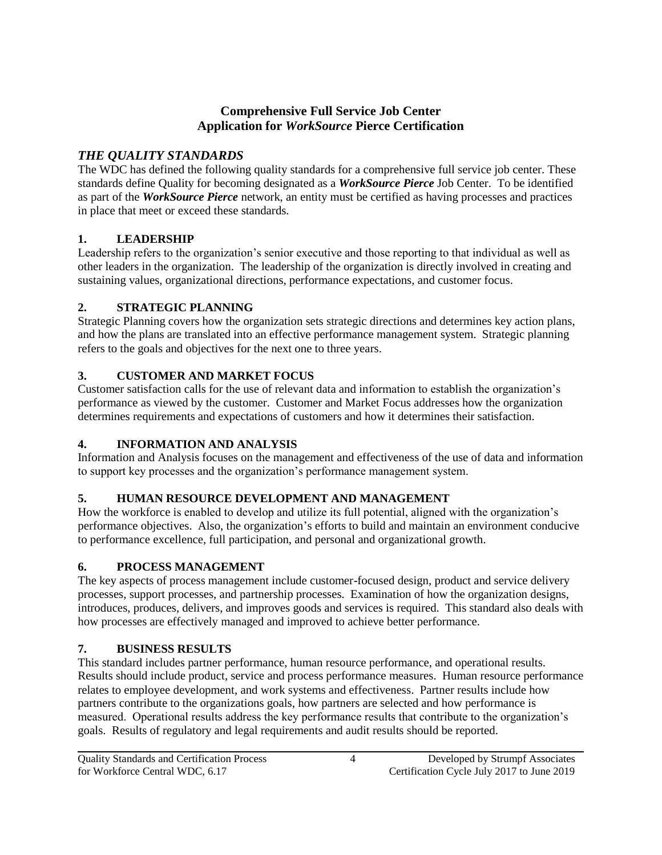# **Comprehensive Full Service Job Center Application for** *WorkSource* **Pierce Certification**

# *THE QUALITY STANDARDS*

The WDC has defined the following quality standards for a comprehensive full service job center. These standards define Quality for becoming designated as a *WorkSource Pierce* Job Center. To be identified as part of the *WorkSource Pierce* network, an entity must be certified as having processes and practices in place that meet or exceed these standards.

# **1. LEADERSHIP**

Leadership refers to the organization's senior executive and those reporting to that individual as well as other leaders in the organization. The leadership of the organization is directly involved in creating and sustaining values, organizational directions, performance expectations, and customer focus.

# **2. STRATEGIC PLANNING**

Strategic Planning covers how the organization sets strategic directions and determines key action plans, and how the plans are translated into an effective performance management system. Strategic planning refers to the goals and objectives for the next one to three years.

# **3. CUSTOMER AND MARKET FOCUS**

Customer satisfaction calls for the use of relevant data and information to establish the organization's performance as viewed by the customer. Customer and Market Focus addresses how the organization determines requirements and expectations of customers and how it determines their satisfaction.

# **4. INFORMATION AND ANALYSIS**

Information and Analysis focuses on the management and effectiveness of the use of data and information to support key processes and the organization's performance management system.

# **5. HUMAN RESOURCE DEVELOPMENT AND MANAGEMENT**

How the workforce is enabled to develop and utilize its full potential, aligned with the organization's performance objectives. Also, the organization's efforts to build and maintain an environment conducive to performance excellence, full participation, and personal and organizational growth.

# **6. PROCESS MANAGEMENT**

The key aspects of process management include customer-focused design, product and service delivery processes, support processes, and partnership processes. Examination of how the organization designs, introduces, produces, delivers, and improves goods and services is required. This standard also deals with how processes are effectively managed and improved to achieve better performance.

# **7. BUSINESS RESULTS**

This standard includes partner performance, human resource performance, and operational results. Results should include product, service and process performance measures. Human resource performance relates to employee development, and work systems and effectiveness. Partner results include how partners contribute to the organizations goals, how partners are selected and how performance is measured. Operational results address the key performance results that contribute to the organization's goals. Results of regulatory and legal requirements and audit results should be reported.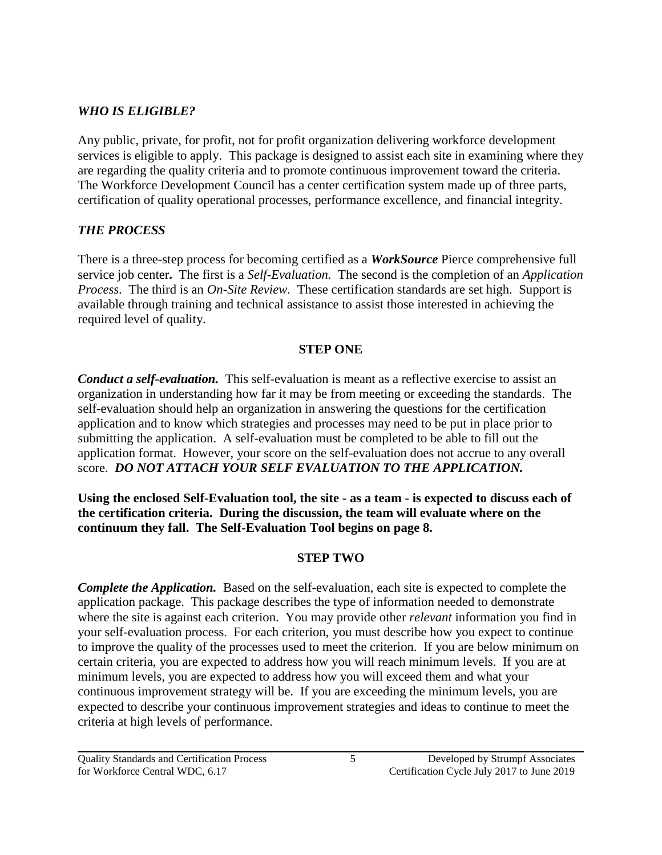# *WHO IS ELIGIBLE?*

Any public, private, for profit, not for profit organization delivering workforce development services is eligible to apply. This package is designed to assist each site in examining where they are regarding the quality criteria and to promote continuous improvement toward the criteria. The Workforce Development Council has a center certification system made up of three parts, certification of quality operational processes, performance excellence, and financial integrity.

# *THE PROCESS*

There is a three-step process for becoming certified as a *WorkSource* Pierce comprehensive full service job center**.** The first is a *Self-Evaluation.* The second is the completion of an *Application Process*. The third is an *On-Site Review.* These certification standards are set high. Support is available through training and technical assistance to assist those interested in achieving the required level of quality.

# **STEP ONE**

*Conduct a self-evaluation.* This self-evaluation is meant as a reflective exercise to assist an organization in understanding how far it may be from meeting or exceeding the standards. The self-evaluation should help an organization in answering the questions for the certification application and to know which strategies and processes may need to be put in place prior to submitting the application. A self-evaluation must be completed to be able to fill out the application format. However, your score on the self-evaluation does not accrue to any overall score. *DO NOT ATTACH YOUR SELF EVALUATION TO THE APPLICATION.*

**Using the enclosed Self-Evaluation tool, the site - as a team - is expected to discuss each of the certification criteria. During the discussion, the team will evaluate where on the continuum they fall. The Self-Evaluation Tool begins on page 8.**

# **STEP TWO**

*Complete the Application.* Based on the self-evaluation, each site is expected to complete the application package. This package describes the type of information needed to demonstrate where the site is against each criterion. You may provide other *relevant* information you find in your self-evaluation process. For each criterion, you must describe how you expect to continue to improve the quality of the processes used to meet the criterion. If you are below minimum on certain criteria, you are expected to address how you will reach minimum levels. If you are at minimum levels, you are expected to address how you will exceed them and what your continuous improvement strategy will be. If you are exceeding the minimum levels, you are expected to describe your continuous improvement strategies and ideas to continue to meet the criteria at high levels of performance.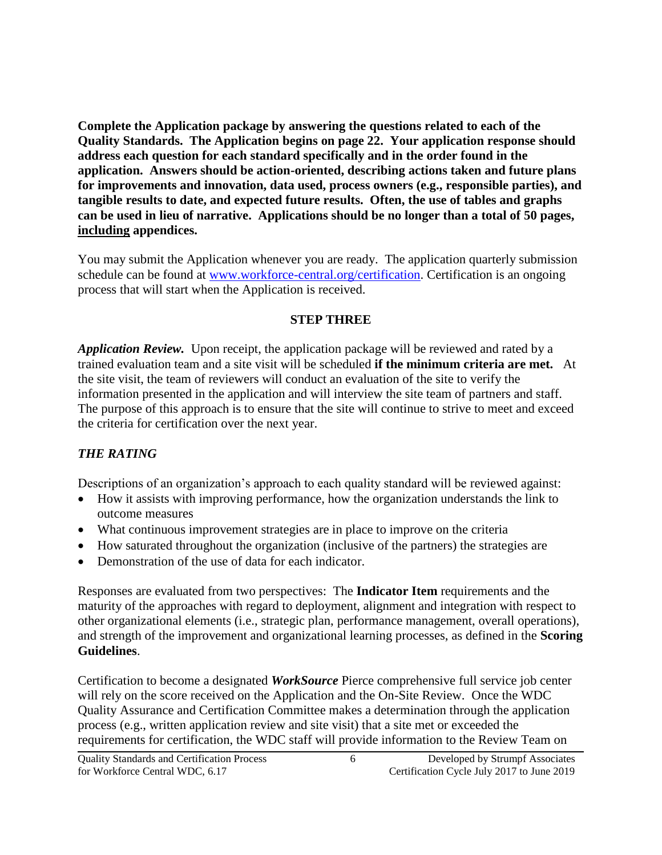**Complete the Application package by answering the questions related to each of the Quality Standards. The Application begins on page 22. Your application response should address each question for each standard specifically and in the order found in the application. Answers should be action-oriented, describing actions taken and future plans for improvements and innovation, data used, process owners (e.g., responsible parties), and tangible results to date, and expected future results. Often, the use of tables and graphs can be used in lieu of narrative. Applications should be no longer than a total of 50 pages, including appendices.**

You may submit the Application whenever you are ready. The application quarterly submission schedule can be found at [www.workforce-central.org/certification.](http://www.workforce-central.org/certification) Certification is an ongoing process that will start when the Application is received.

#### **STEP THREE**

*Application Review.* Upon receipt, the application package will be reviewed and rated by a trained evaluation team and a site visit will be scheduled **if the minimum criteria are met.** At the site visit, the team of reviewers will conduct an evaluation of the site to verify the information presented in the application and will interview the site team of partners and staff. The purpose of this approach is to ensure that the site will continue to strive to meet and exceed the criteria for certification over the next year.

# *THE RATING*

Descriptions of an organization's approach to each quality standard will be reviewed against:

- How it assists with improving performance, how the organization understands the link to outcome measures
- What continuous improvement strategies are in place to improve on the criteria
- How saturated throughout the organization (inclusive of the partners) the strategies are
- Demonstration of the use of data for each indicator.

Responses are evaluated from two perspectives: The **Indicator Item** requirements and the maturity of the approaches with regard to deployment, alignment and integration with respect to other organizational elements (i.e., strategic plan, performance management, overall operations), and strength of the improvement and organizational learning processes, as defined in the **Scoring Guidelines**.

Certification to become a designated *WorkSource* Pierce comprehensive full service job center will rely on the score received on the Application and the On-Site Review. Once the WDC Quality Assurance and Certification Committee makes a determination through the application process (e.g., written application review and site visit) that a site met or exceeded the requirements for certification, the WDC staff will provide information to the Review Team on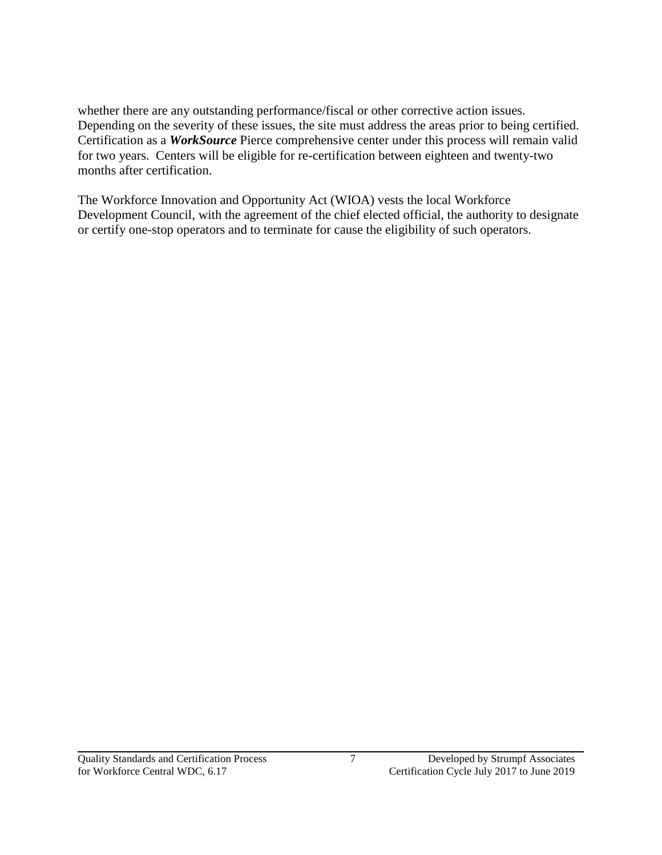whether there are any outstanding performance/fiscal or other corrective action issues. Depending on the severity of these issues, the site must address the areas prior to being certified. Certification as a *WorkSource* Pierce comprehensive center under this process will remain valid for two years. Centers will be eligible for re-certification between eighteen and twenty-two months after certification.

The Workforce Innovation and Opportunity Act (WIOA) vests the local Workforce Development Council, with the agreement of the chief elected official, the authority to designate or certify one-stop operators and to terminate for cause the eligibility of such operators.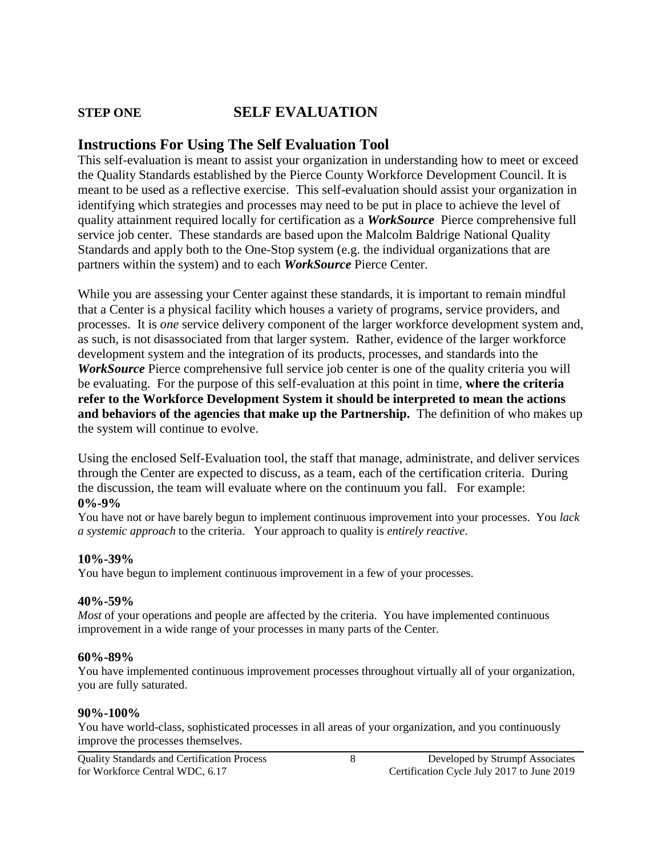# **STEP ONE SELF EVALUATION**

# **Instructions For Using The Self Evaluation Tool**

This self-evaluation is meant to assist your organization in understanding how to meet or exceed the Quality Standards established by the Pierce County Workforce Development Council. It is meant to be used as a reflective exercise. This self-evaluation should assist your organization in identifying which strategies and processes may need to be put in place to achieve the level of quality attainment required locally for certification as a *WorkSource* Pierce comprehensive full service job center. These standards are based upon the Malcolm Baldrige National Quality Standards and apply both to the One-Stop system (e.g. the individual organizations that are partners within the system) and to each *WorkSource* Pierce Center.

While you are assessing your Center against these standards, it is important to remain mindful that a Center is a physical facility which houses a variety of programs, service providers, and processes. It is *one* service delivery component of the larger workforce development system and, as such, is not disassociated from that larger system. Rather, evidence of the larger workforce development system and the integration of its products, processes, and standards into the *WorkSource* Pierce comprehensive full service job center is one of the quality criteria you will be evaluating. For the purpose of this self-evaluation at this point in time, **where the criteria refer to the Workforce Development System it should be interpreted to mean the actions**  and behaviors of the agencies that make up the Partnership. The definition of who makes up the system will continue to evolve.

Using the enclosed Self-Evaluation tool, the staff that manage, administrate, and deliver services through the Center are expected to discuss, as a team, each of the certification criteria. During the discussion, the team will evaluate where on the continuum you fall. For example: **0%-9%**

You have not or have barely begun to implement continuous improvement into your processes. You *lack a systemic approach* to the criteria. Your approach to quality is *entirely reactive*.

#### **10%-39%**

You have begun to implement continuous improvement in a few of your processes.

#### **40%-59%**

*Most* of your operations and people are affected by the criteria. You have implemented continuous improvement in a wide range of your processes in many parts of the Center.

#### **60%-89%**

You have implemented continuous improvement processes throughout virtually all of your organization, you are fully saturated.

#### **90%-100%**

You have world-class, sophisticated processes in all areas of your organization, and you continuously improve the processes themselves.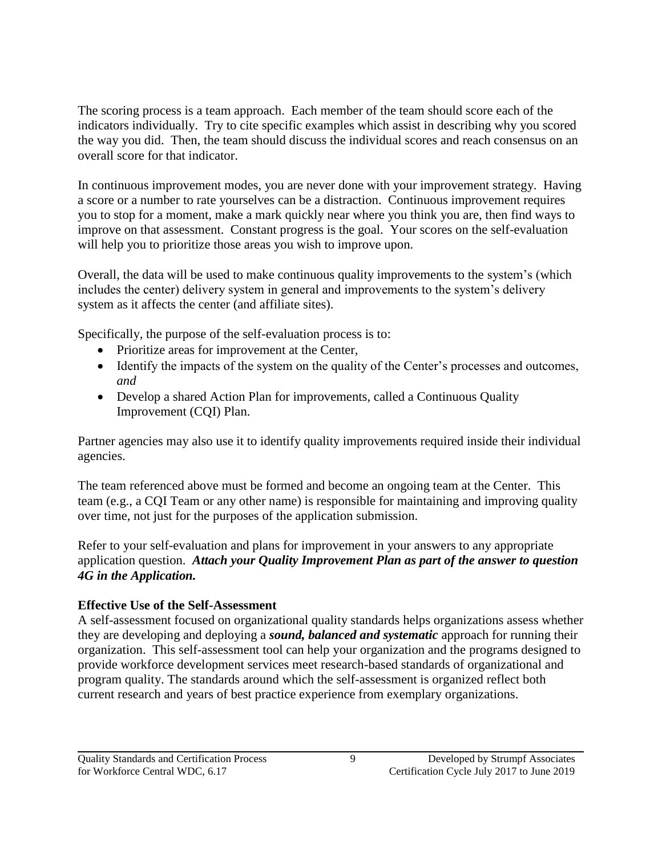The scoring process is a team approach. Each member of the team should score each of the indicators individually. Try to cite specific examples which assist in describing why you scored the way you did. Then, the team should discuss the individual scores and reach consensus on an overall score for that indicator.

In continuous improvement modes, you are never done with your improvement strategy. Having a score or a number to rate yourselves can be a distraction. Continuous improvement requires you to stop for a moment, make a mark quickly near where you think you are, then find ways to improve on that assessment. Constant progress is the goal. Your scores on the self-evaluation will help you to prioritize those areas you wish to improve upon.

Overall, the data will be used to make continuous quality improvements to the system's (which includes the center) delivery system in general and improvements to the system's delivery system as it affects the center (and affiliate sites).

Specifically, the purpose of the self-evaluation process is to:

- Prioritize areas for improvement at the Center,
- Identify the impacts of the system on the quality of the Center's processes and outcomes, *and*
- Develop a shared Action Plan for improvements, called a Continuous Quality Improvement (CQI) Plan.

Partner agencies may also use it to identify quality improvements required inside their individual agencies.

The team referenced above must be formed and become an ongoing team at the Center. This team (e.g., a CQI Team or any other name) is responsible for maintaining and improving quality over time, not just for the purposes of the application submission.

Refer to your self-evaluation and plans for improvement in your answers to any appropriate application question. *Attach your Quality Improvement Plan as part of the answer to question 4G in the Application.*

# **Effective Use of the Self-Assessment**

A self-assessment focused on organizational quality standards helps organizations assess whether they are developing and deploying a *sound, balanced and systematic* approach for running their organization. This self-assessment tool can help your organization and the programs designed to provide workforce development services meet research-based standards of organizational and program quality. The standards around which the self-assessment is organized reflect both current research and years of best practice experience from exemplary organizations.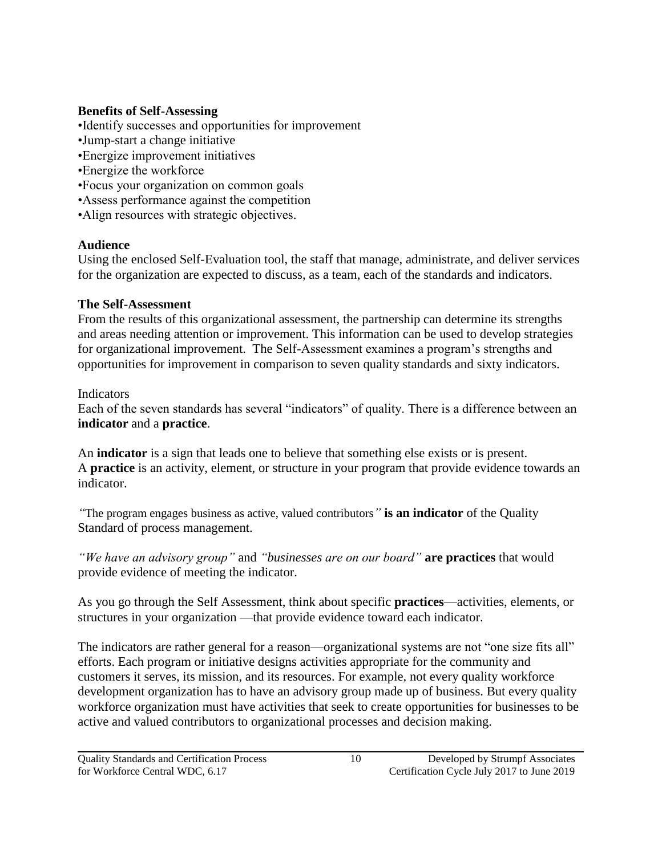# **Benefits of Self-Assessing**

- •Identify successes and opportunities for improvement
- •Jump-start a change initiative
- •Energize improvement initiatives
- •Energize the workforce
- •Focus your organization on common goals
- •Assess performance against the competition
- •Align resources with strategic objectives.

# **Audience**

Using the enclosed Self-Evaluation tool, the staff that manage, administrate, and deliver services for the organization are expected to discuss, as a team, each of the standards and indicators.

# **The Self-Assessment**

From the results of this organizational assessment, the partnership can determine its strengths and areas needing attention or improvement. This information can be used to develop strategies for organizational improvement. The Self-Assessment examines a program's strengths and opportunities for improvement in comparison to seven quality standards and sixty indicators.

# Indicators

Each of the seven standards has several "indicators" of quality. There is a difference between an **indicator** and a **practice**.

An **indicator** is a sign that leads one to believe that something else exists or is present. A **practice** is an activity, element, or structure in your program that provide evidence towards an indicator.

*"*The program engages business as active, valued contributors*"* **is an indicator** of the Quality Standard of process management.

*"We have an advisory group"* and *"businesses are on our board"* **are practices** that would provide evidence of meeting the indicator.

As you go through the Self Assessment, think about specific **practices**—activities, elements, or structures in your organization —that provide evidence toward each indicator.

The indicators are rather general for a reason—organizational systems are not "one size fits all" efforts. Each program or initiative designs activities appropriate for the community and customers it serves, its mission, and its resources. For example, not every quality workforce development organization has to have an advisory group made up of business. But every quality workforce organization must have activities that seek to create opportunities for businesses to be active and valued contributors to organizational processes and decision making.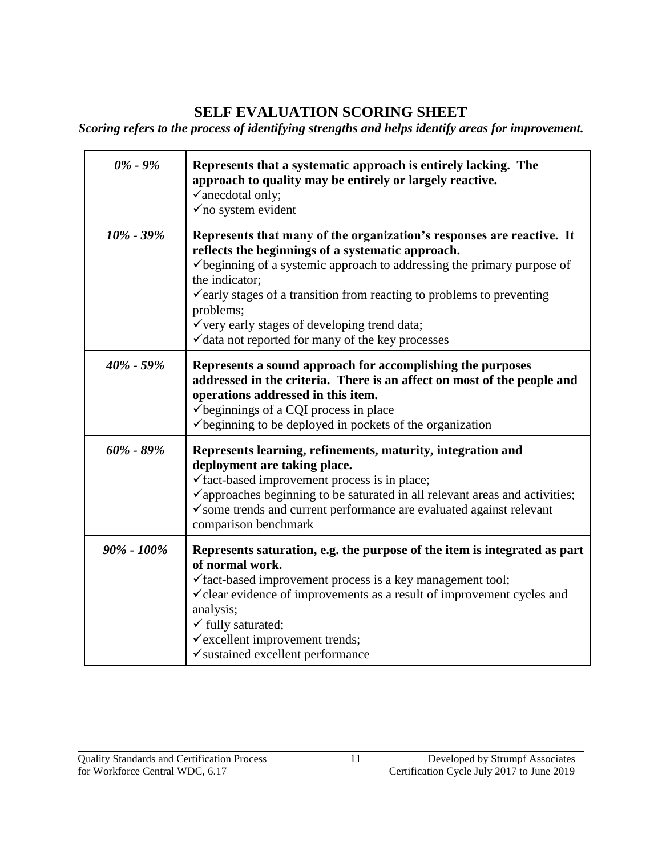# **SELF EVALUATION SCORING SHEET**

*Scoring refers to the process of identifying strengths and helps identify areas for improvement.*

| $0\%$ - $9\%$  | Represents that a systematic approach is entirely lacking. The<br>approach to quality may be entirely or largely reactive.<br>$\checkmark$ anecdotal only;<br>$\checkmark$ no system evident                                                                                                                                                                                                                                                                     |
|----------------|------------------------------------------------------------------------------------------------------------------------------------------------------------------------------------------------------------------------------------------------------------------------------------------------------------------------------------------------------------------------------------------------------------------------------------------------------------------|
| $10\% - 39\%$  | Represents that many of the organization's responses are reactive. It<br>reflects the beginnings of a systematic approach.<br>$\checkmark$ beginning of a systemic approach to addressing the primary purpose of<br>the indicator;<br>$\checkmark$ early stages of a transition from reacting to problems to preventing<br>problems;<br>$\checkmark$ very early stages of developing trend data;<br>$\checkmark$ data not reported for many of the key processes |
| $40\% - 59\%$  | Represents a sound approach for accomplishing the purposes<br>addressed in the criteria. There is an affect on most of the people and<br>operations addressed in this item.<br>beginnings of a CQI process in place<br>$\checkmark$ beginning to be deployed in pockets of the organization                                                                                                                                                                      |
| $60\%$ - 89%   | Represents learning, refinements, maturity, integration and<br>deployment are taking place.<br>√fact-based improvement process is in place;<br>$\checkmark$ approaches beginning to be saturated in all relevant areas and activities;<br>$\checkmark$ some trends and current performance are evaluated against relevant<br>comparison benchmark                                                                                                                |
| $90\% - 100\%$ | Represents saturation, e.g. the purpose of the item is integrated as part<br>of normal work.<br>$\checkmark$ fact-based improvement process is a key management tool;<br>$\checkmark$ clear evidence of improvements as a result of improvement cycles and<br>analysis;<br>$\checkmark$ fully saturated;<br>$\checkmark$ excellent improvement trends;<br>$\checkmark$ sustained excellent performance                                                           |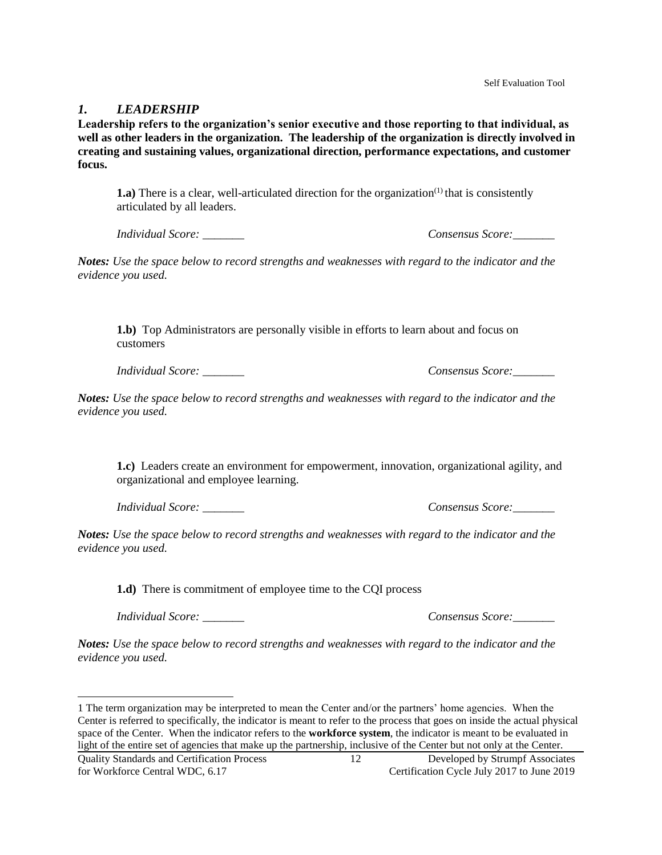#### *1. LEADERSHIP*

**Leadership refers to the organization's senior executive and those reporting to that individual, as well as other leaders in the organization. The leadership of the organization is directly involved in creating and sustaining values, organizational direction, performance expectations, and customer focus.**

**1.a**) There is a clear, well-articulated direction for the organization<sup>(1)</sup> that is consistently articulated by all leaders.

*Individual Score: \_\_\_\_\_\_\_ Consensus Score:\_\_\_\_\_\_\_*

*Notes: Use the space below to record strengths and weaknesses with regard to the indicator and the evidence you used.* 

**1.b)** Top Administrators are personally visible in efforts to learn about and focus on customers

*Individual Score: \_\_\_\_\_\_\_ Consensus Score:\_\_\_\_\_\_\_*

*Notes: Use the space below to record strengths and weaknesses with regard to the indicator and the evidence you used.* 

**1.c)** Leaders create an environment for empowerment, innovation, organizational agility, and organizational and employee learning.

*Individual Score: \_\_\_\_\_\_\_ Consensus Score:\_\_\_\_\_\_\_*

*Notes: Use the space below to record strengths and weaknesses with regard to the indicator and the evidence you used.* 

**1.d)** There is commitment of employee time to the CQI process

*Individual Score: \_\_\_\_\_\_\_ Consensus Score:\_\_\_\_\_\_\_*

*Notes: Use the space below to record strengths and weaknesses with regard to the indicator and the evidence you used.* 

 $\overline{a}$ 

<sup>1</sup> The term organization may be interpreted to mean the Center and/or the partners' home agencies. When the Center is referred to specifically, the indicator is meant to refer to the process that goes on inside the actual physical space of the Center. When the indicator refers to the **workforce system**, the indicator is meant to be evaluated in light of the entire set of agencies that make up the partnership, inclusive of the Center but not only at the Center.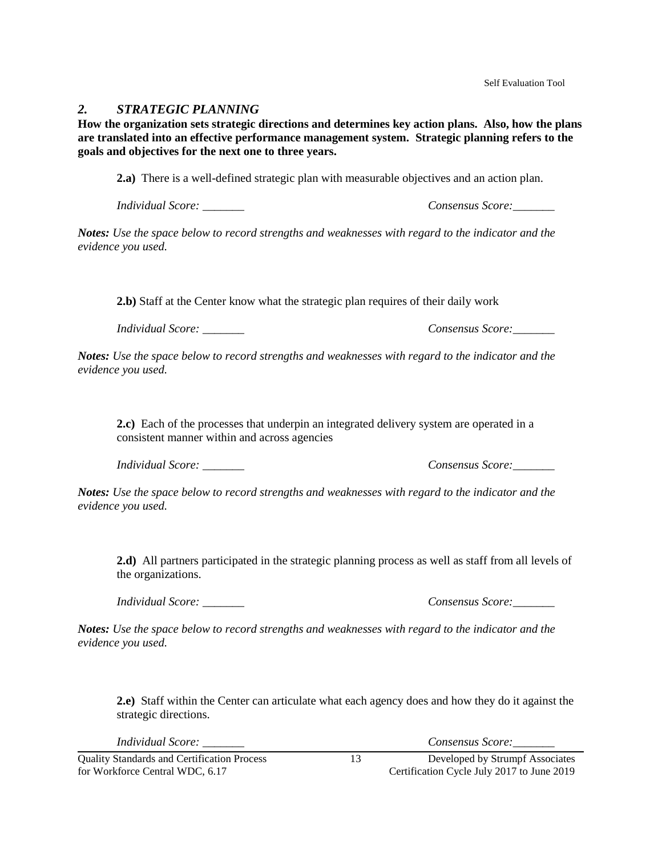#### *2. STRATEGIC PLANNING*

**How the organization sets strategic directions and determines key action plans. Also, how the plans are translated into an effective performance management system. Strategic planning refers to the goals and objectives for the next one to three years.**

**2.a)** There is a well-defined strategic plan with measurable objectives and an action plan.

*Individual Score: \_\_\_\_\_\_\_ Consensus Score:\_\_\_\_\_\_\_*

*Notes: Use the space below to record strengths and weaknesses with regard to the indicator and the evidence you used.* 

**2.b)** Staff at the Center know what the strategic plan requires of their daily work

*Individual Score: \_\_\_\_\_\_\_ Consensus Score:\_\_\_\_\_\_\_*

*Notes: Use the space below to record strengths and weaknesses with regard to the indicator and the evidence you used.* 

**2.c)** Each of the processes that underpin an integrated delivery system are operated in a consistent manner within and across agencies

*Individual Score:*  $\blacksquare$ 

*Notes: Use the space below to record strengths and weaknesses with regard to the indicator and the evidence you used.* 

**2.d)** All partners participated in the strategic planning process as well as staff from all levels of the organizations.

*Individual Score:*  $\blacksquare$ 

*Notes: Use the space below to record strengths and weaknesses with regard to the indicator and the evidence you used.* 

**2.e)** Staff within the Center can articulate what each agency does and how they do it against the strategic directions.

*Individual Score: \_\_\_\_\_\_\_ Consensus Score:\_\_\_\_\_\_\_*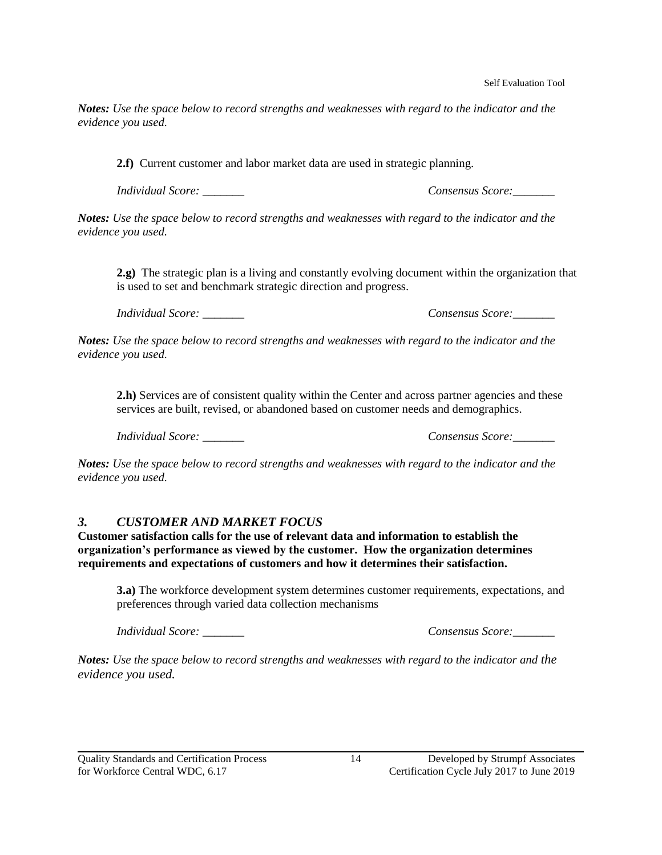*Notes: Use the space below to record strengths and weaknesses with regard to the indicator and the evidence you used.* 

**2.f)** Current customer and labor market data are used in strategic planning.

*Individual Score: \_\_\_\_\_\_\_ Consensus Score:\_\_\_\_\_\_\_*

*Notes: Use the space below to record strengths and weaknesses with regard to the indicator and the evidence you used.* 

**2.g)** The strategic plan is a living and constantly evolving document within the organization that is used to set and benchmark strategic direction and progress.

*Individual Score: \_\_\_\_\_\_\_ Consensus Score:\_\_\_\_\_\_\_*

*Notes: Use the space below to record strengths and weaknesses with regard to the indicator and the evidence you used.* 

**2.h)** Services are of consistent quality within the Center and across partner agencies and these services are built, revised, or abandoned based on customer needs and demographics.

*Individual Score: \_\_\_\_\_\_\_ Consensus Score:\_\_\_\_\_\_\_*

*Notes: Use the space below to record strengths and weaknesses with regard to the indicator and the evidence you used.* 

#### *3. CUSTOMER AND MARKET FOCUS*

**Customer satisfaction calls for the use of relevant data and information to establish the organization's performance as viewed by the customer. How the organization determines requirements and expectations of customers and how it determines their satisfaction.**

**3.a)** The workforce development system determines customer requirements, expectations, and preferences through varied data collection mechanisms

*Individual Score: \_\_\_\_\_\_\_ Consensus Score:\_\_\_\_\_\_\_*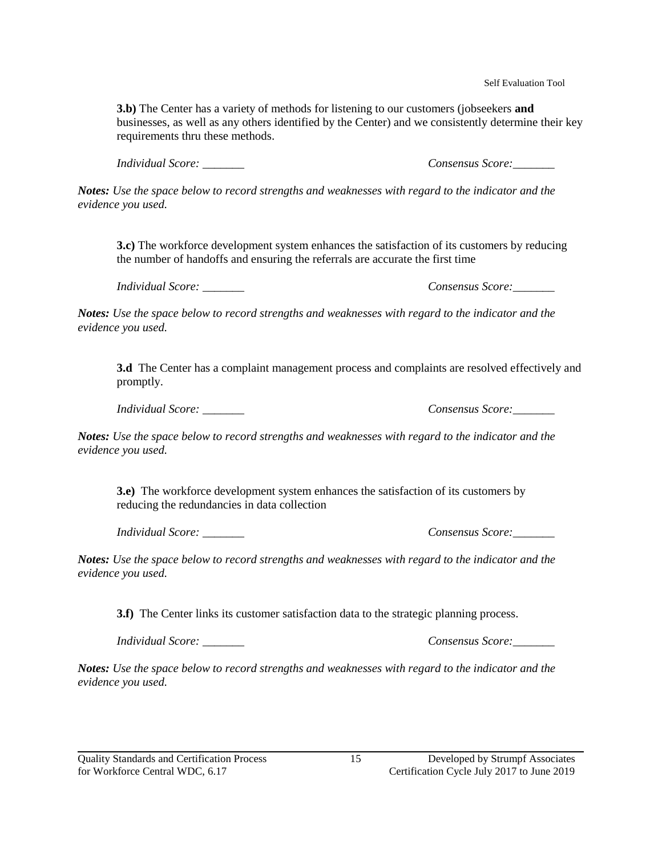Self Evaluation Tool

**3.b)** The Center has a variety of methods for listening to our customers (jobseekers **and**  businesses, as well as any others identified by the Center) and we consistently determine their key requirements thru these methods.

*Individual Score: \_\_\_\_\_\_\_ Consensus Score:\_\_\_\_\_\_\_*

*Notes: Use the space below to record strengths and weaknesses with regard to the indicator and the evidence you used.* 

**3.c)** The workforce development system enhances the satisfaction of its customers by reducing the number of handoffs and ensuring the referrals are accurate the first time

*Individual Score:*  $\blacksquare$ 

*Notes: Use the space below to record strengths and weaknesses with regard to the indicator and the evidence you used.* 

**3.d** The Center has a complaint management process and complaints are resolved effectively and promptly.

*Individual Score: \_\_\_\_\_\_\_ Consensus Score:\_\_\_\_\_\_\_*

*Notes: Use the space below to record strengths and weaknesses with regard to the indicator and the evidence you used.* 

**3.e)** The workforce development system enhances the satisfaction of its customers by reducing the redundancies in data collection

*Individual Score: \_\_\_\_\_\_\_ Consensus Score:\_\_\_\_\_\_\_*

*Notes: Use the space below to record strengths and weaknesses with regard to the indicator and the evidence you used.* 

**3.f)** The Center links its customer satisfaction data to the strategic planning process.

*Individual Score: \_\_\_\_\_\_\_ Consensus Score:\_\_\_\_\_\_\_*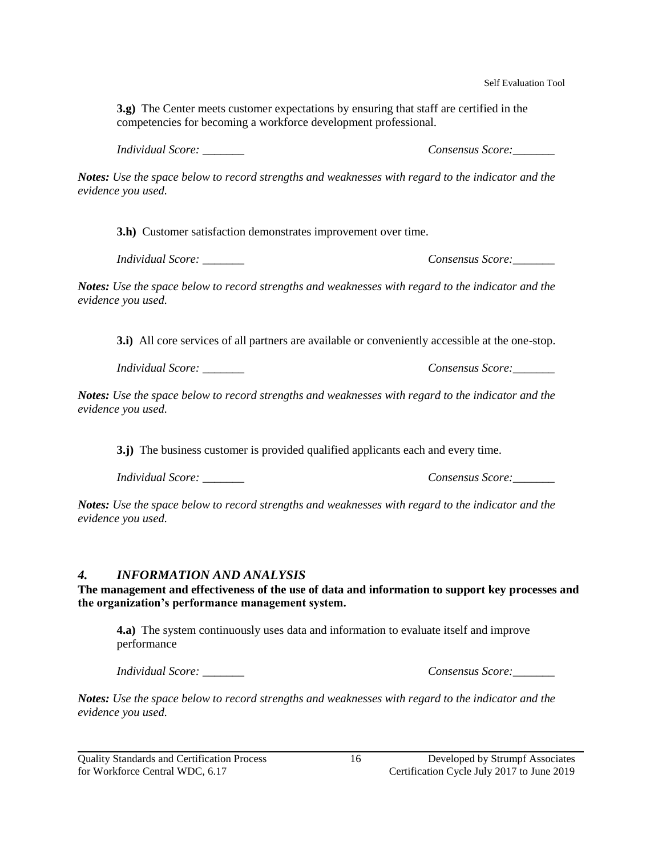**3.g)** The Center meets customer expectations by ensuring that staff are certified in the competencies for becoming a workforce development professional.

*Individual Score: \_\_\_\_\_\_\_ Consensus Score:\_\_\_\_\_\_\_*

*Notes: Use the space below to record strengths and weaknesses with regard to the indicator and the evidence you used.* 

**3.h)** Customer satisfaction demonstrates improvement over time.

*Individual Score: \_\_\_\_\_\_\_ Consensus Score:\_\_\_\_\_\_\_*

*Notes: Use the space below to record strengths and weaknesses with regard to the indicator and the evidence you used.* 

**3.i)** All core services of all partners are available or conveniently accessible at the one-stop.

*Individual Score: \_\_\_\_\_\_\_ Consensus Score:\_\_\_\_\_\_\_*

*Notes: Use the space below to record strengths and weaknesses with regard to the indicator and the evidence you used.* 

**3.j)** The business customer is provided qualified applicants each and every time.

*Individual Score:*  $\blacksquare$ 

*Notes: Use the space below to record strengths and weaknesses with regard to the indicator and the evidence you used.* 

#### *4. INFORMATION AND ANALYSIS*

**The management and effectiveness of the use of data and information to support key processes and the organization's performance management system.**

**4.a)** The system continuously uses data and information to evaluate itself and improve performance

*Individual Score: \_\_\_\_\_\_\_ Consensus Score:\_\_\_\_\_\_\_*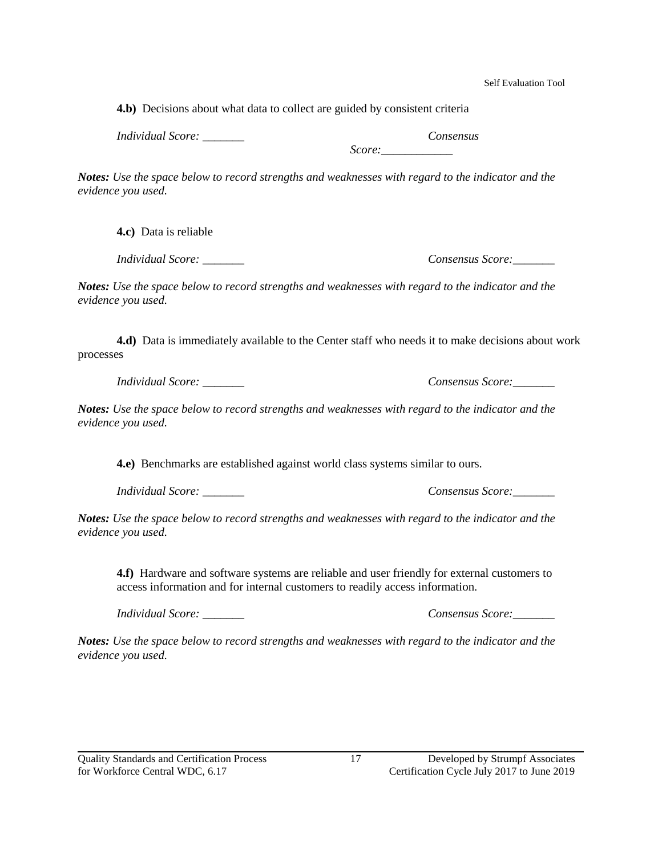Self Evaluation Tool

**4.b)** Decisions about what data to collect are guided by consistent criteria

*Individual Score: \_\_\_\_\_\_\_ Consensus* 

*Score:\_\_\_\_\_\_\_\_\_\_\_\_*

*Notes: Use the space below to record strengths and weaknesses with regard to the indicator and the evidence you used.* 

**4.c)** Data is reliable

*Individual Score: \_\_\_\_\_\_\_ Consensus Score:\_\_\_\_\_\_\_*

*Notes: Use the space below to record strengths and weaknesses with regard to the indicator and the evidence you used.* 

**4.d)** Data is immediately available to the Center staff who needs it to make decisions about work processes

*Individual Score: \_\_\_\_\_\_\_ Consensus Score:\_\_\_\_\_\_\_*

*Notes: Use the space below to record strengths and weaknesses with regard to the indicator and the evidence you used.* 

**4.e)** Benchmarks are established against world class systems similar to ours.

*Individual Score: \_\_\_\_\_\_\_ Consensus Score:\_\_\_\_\_\_\_*

*Notes: Use the space below to record strengths and weaknesses with regard to the indicator and the evidence you used.* 

**4.f)** Hardware and software systems are reliable and user friendly for external customers to access information and for internal customers to readily access information.

*Individual Score: \_\_\_\_\_\_\_ Consensus Score:\_\_\_\_\_\_\_*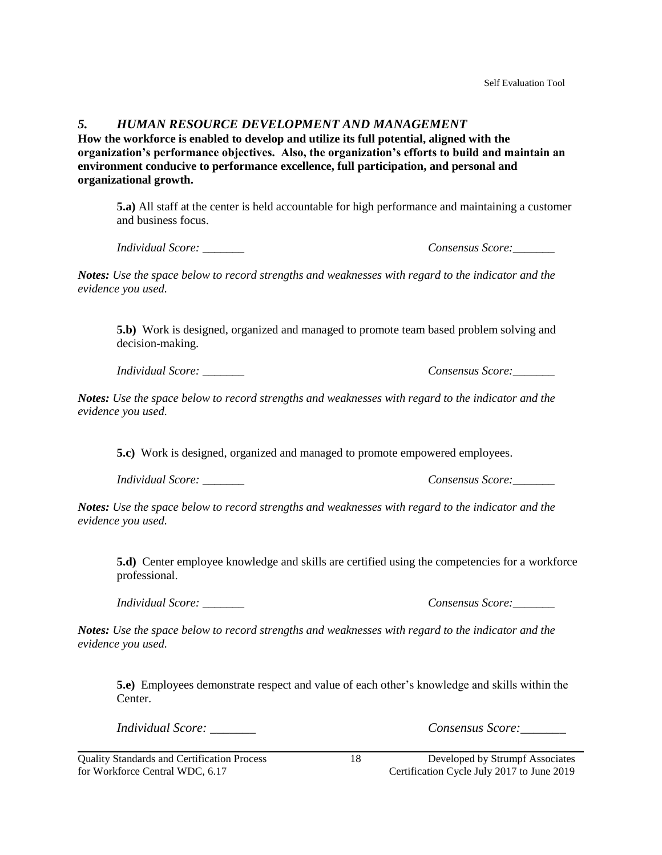#### *5. HUMAN RESOURCE DEVELOPMENT AND MANAGEMENT*

**How the workforce is enabled to develop and utilize its full potential, aligned with the organization's performance objectives. Also, the organization's efforts to build and maintain an environment conducive to performance excellence, full participation, and personal and organizational growth.**

**5.a)** All staff at the center is held accountable for high performance and maintaining a customer and business focus.

*Individual Score: \_\_\_\_\_\_\_ Consensus Score:\_\_\_\_\_\_\_*

*Notes: Use the space below to record strengths and weaknesses with regard to the indicator and the evidence you used.* 

**5.b)** Work is designed, organized and managed to promote team based problem solving and decision-making.

*Individual Score: \_\_\_\_\_\_\_ Consensus Score:\_\_\_\_\_\_\_*

*Notes: Use the space below to record strengths and weaknesses with regard to the indicator and the evidence you used.* 

**5.c)** Work is designed, organized and managed to promote empowered employees.

*Individual Score: \_\_\_\_\_\_\_ Consensus Score:\_\_\_\_\_\_\_*

*Notes: Use the space below to record strengths and weaknesses with regard to the indicator and the evidence you used.* 

**5.d)** Center employee knowledge and skills are certified using the competencies for a workforce professional.

*Notes: Use the space below to record strengths and weaknesses with regard to the indicator and the evidence you used.* 

**5.e)** Employees demonstrate respect and value of each other's knowledge and skills within the Center.

*Individual Score: \_\_\_\_\_\_\_ Consensus Score:\_\_\_\_\_\_\_*

*Individual Score: \_\_\_\_\_\_\_ Consensus Score:\_\_\_\_\_\_\_*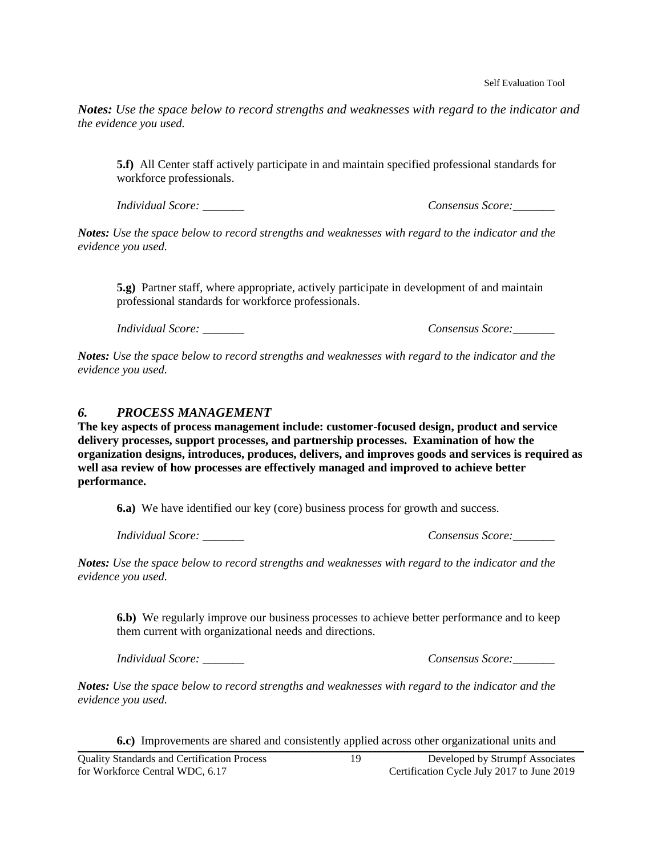*Notes: Use the space below to record strengths and weaknesses with regard to the indicator and the evidence you used.* 

**5.f)** All Center staff actively participate in and maintain specified professional standards for workforce professionals.

*Individual Score: \_\_\_\_\_\_\_ Consensus Score:\_\_\_\_\_\_\_*

*Notes: Use the space below to record strengths and weaknesses with regard to the indicator and the evidence you used.* 

**5.g)** Partner staff, where appropriate, actively participate in development of and maintain professional standards for workforce professionals.

*Individual Score:*  $\blacksquare$ 

*Notes: Use the space below to record strengths and weaknesses with regard to the indicator and the evidence you used.* 

#### *6. PROCESS MANAGEMENT*

**The key aspects of process management include: customer-focused design, product and service delivery processes, support processes, and partnership processes. Examination of how the organization designs, introduces, produces, delivers, and improves goods and services is required as well asa review of how processes are effectively managed and improved to achieve better performance.**

**6.a)** We have identified our key (core) business process for growth and success.

*Individual Score: \_\_\_\_\_\_\_ Consensus Score:\_\_\_\_\_\_\_*

*Notes: Use the space below to record strengths and weaknesses with regard to the indicator and the evidence you used.* 

**6.b)** We regularly improve our business processes to achieve better performance and to keep them current with organizational needs and directions.

*Individual Score: \_\_\_\_\_\_\_ Consensus Score:\_\_\_\_\_\_\_*

*Notes: Use the space below to record strengths and weaknesses with regard to the indicator and the evidence you used.* 

**6.c)** Improvements are shared and consistently applied across other organizational units and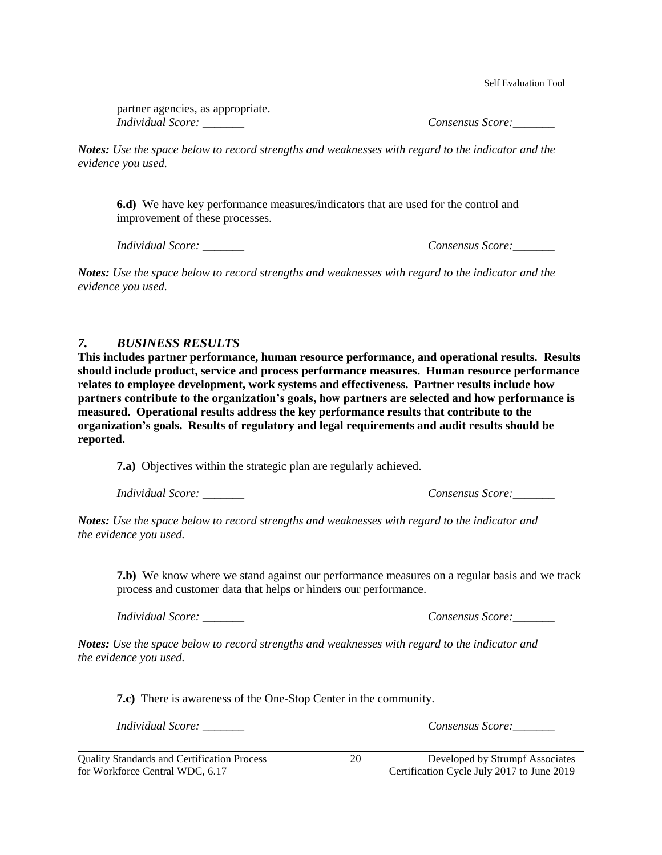Self Evaluation Tool

partner agencies, as appropriate. *Individual Score:*  $\blacksquare$ 

*Notes: Use the space below to record strengths and weaknesses with regard to the indicator and the evidence you used.* 

**6.d)** We have key performance measures/indicators that are used for the control and improvement of these processes.

*Individual Score: \_\_\_\_\_\_\_ Consensus Score:\_\_\_\_\_\_\_*

*Notes: Use the space below to record strengths and weaknesses with regard to the indicator and the evidence you used.* 

#### *7. BUSINESS RESULTS*

**This includes partner performance, human resource performance, and operational results. Results should include product, service and process performance measures. Human resource performance relates to employee development, work systems and effectiveness. Partner results include how partners contribute to the organization's goals, how partners are selected and how performance is measured. Operational results address the key performance results that contribute to the organization's goals. Results of regulatory and legal requirements and audit results should be reported.**

**7.a)** Objectives within the strategic plan are regularly achieved.

*Individual Score: \_\_\_\_\_\_\_ Consensus Score:\_\_\_\_\_\_\_*

*Notes: Use the space below to record strengths and weaknesses with regard to the indicator and the evidence you used.* 

**7.b)** We know where we stand against our performance measures on a regular basis and we track process and customer data that helps or hinders our performance.

*Individual Score: \_\_\_\_\_\_\_ Consensus Score:\_\_\_\_\_\_\_*

*Notes: Use the space below to record strengths and weaknesses with regard to the indicator and the evidence you used.* 

**7.c)** There is awareness of the One-Stop Center in the community.

*Individual Score: \_\_\_\_\_\_\_ Consensus Score:\_\_\_\_\_\_\_*

for Workforce Central WDC, 6.17 Certification Cycle July 2017 to June 2019

Quality Standards and Certification Process 20 Developed by Strumpf Associates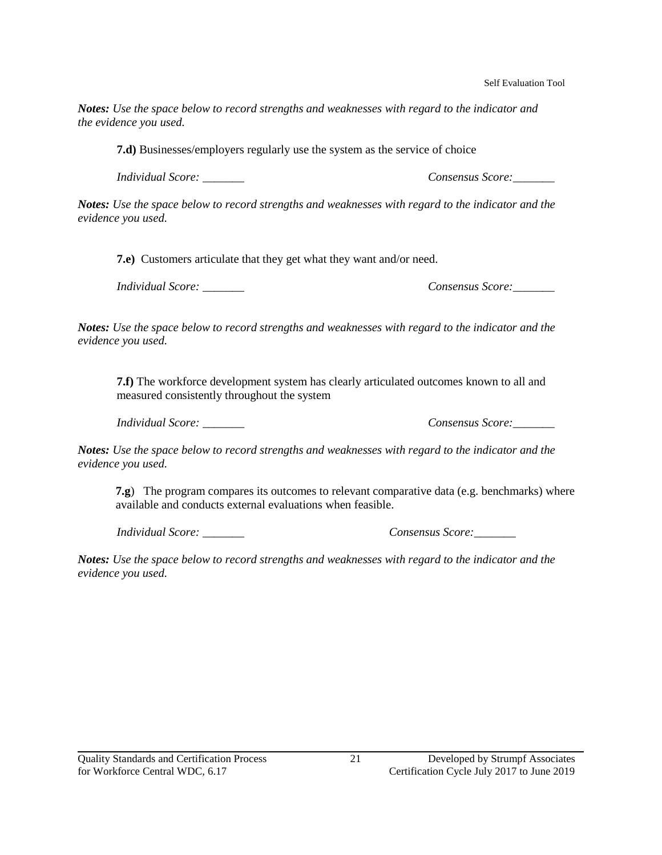Self Evaluation Tool

*Notes: Use the space below to record strengths and weaknesses with regard to the indicator and the evidence you used.* 

**7.d)** Businesses/employers regularly use the system as the service of choice

*Individual Score: \_\_\_\_\_\_\_ Consensus Score:\_\_\_\_\_\_\_*

*Notes: Use the space below to record strengths and weaknesses with regard to the indicator and the evidence you used.* 

**7.e)** Customers articulate that they get what they want and/or need.

*Individual Score: \_\_\_\_\_\_\_ Consensus Score:\_\_\_\_\_\_\_*

*Notes: Use the space below to record strengths and weaknesses with regard to the indicator and the evidence you used.* 

**7.f)** The workforce development system has clearly articulated outcomes known to all and measured consistently throughout the system

*Individual Score: \_\_\_\_\_\_\_ Consensus Score:\_\_\_\_\_\_\_*

*Notes: Use the space below to record strengths and weaknesses with regard to the indicator and the evidence you used.* 

**7.g**) The program compares its outcomes to relevant comparative data (e.g. benchmarks) where available and conducts external evaluations when feasible.

*Individual Score: \_\_\_\_\_\_\_ Consensus Score:\_\_\_\_\_\_\_*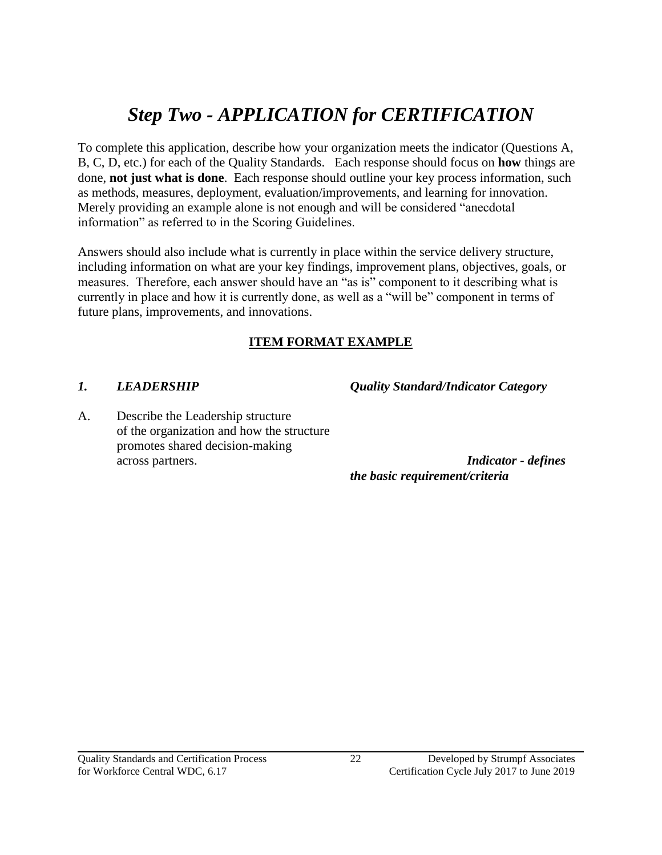# *Step Two - APPLICATION for CERTIFICATION*

To complete this application, describe how your organization meets the indicator (Questions A, B, C, D, etc.) for each of the Quality Standards. Each response should focus on **how** things are done, **not just what is done**. Each response should outline your key process information, such as methods, measures, deployment, evaluation/improvements, and learning for innovation. Merely providing an example alone is not enough and will be considered "anecdotal information" as referred to in the Scoring Guidelines.

Answers should also include what is currently in place within the service delivery structure, including information on what are your key findings, improvement plans, objectives, goals, or measures. Therefore, each answer should have an "as is" component to it describing what is currently in place and how it is currently done, as well as a "will be" component in terms of future plans, improvements, and innovations.

# **ITEM FORMAT EXAMPLE**

*1. LEADERSHIP Quality Standard/Indicator Category*

A. Describe the Leadership structure of the organization and how the structure promotes shared decision-making across partners. *Indicator - defines* 

*the basic requirement/criteria*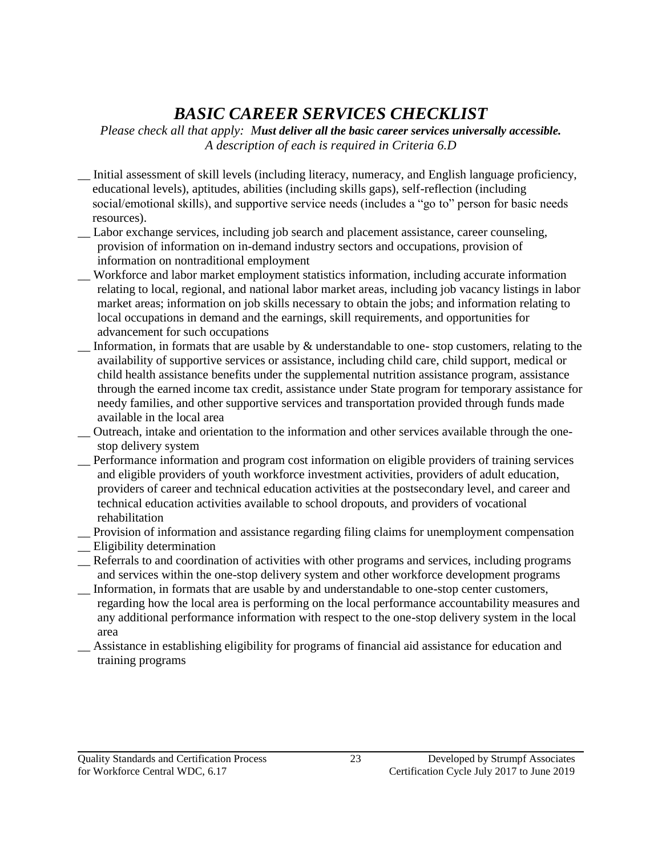# *BASIC CAREER SERVICES CHECKLIST*

*Please check all that apply: Must deliver all the basic career services universally accessible. A description of each is required in Criteria 6.D*

- \_\_ Initial assessment of skill levels (including literacy, numeracy, and English language proficiency, educational levels), aptitudes, abilities (including skills gaps), self-reflection (including social/emotional skills), and supportive service needs (includes a "go to" person for basic needs resources).
- \_\_ Labor exchange services, including job search and placement assistance, career counseling, provision of information on in-demand industry sectors and occupations, provision of information on nontraditional employment
- \_\_ Workforce and labor market employment statistics information, including accurate information relating to local, regional, and national labor market areas, including job vacancy listings in labor market areas; information on job skills necessary to obtain the jobs; and information relating to local occupations in demand and the earnings, skill requirements, and opportunities for advancement for such occupations
- Information, in formats that are usable by  $\&$  understandable to one- stop customers, relating to the availability of supportive services or assistance, including child care, child support, medical or child health assistance benefits under the supplemental nutrition assistance program, assistance through the earned income tax credit, assistance under State program for temporary assistance for needy families, and other supportive services and transportation provided through funds made available in the local area

\_\_ Outreach, intake and orientation to the information and other services available through the onestop delivery system

- \_\_ Performance information and program cost information on eligible providers of training services and eligible providers of youth workforce investment activities, providers of adult education, providers of career and technical education activities at the postsecondary level, and career and technical education activities available to school dropouts, and providers of vocational rehabilitation
- \_\_ Provision of information and assistance regarding filing claims for unemployment compensation
- \_\_ Eligibility determination
- \_\_ Referrals to and coordination of activities with other programs and services, including programs and services within the one-stop delivery system and other workforce development programs
- \_\_ Information, in formats that are usable by and understandable to one-stop center customers, regarding how the local area is performing on the local performance accountability measures and any additional performance information with respect to the one-stop delivery system in the local area
- \_\_ Assistance in establishing eligibility for programs of financial aid assistance for education and training programs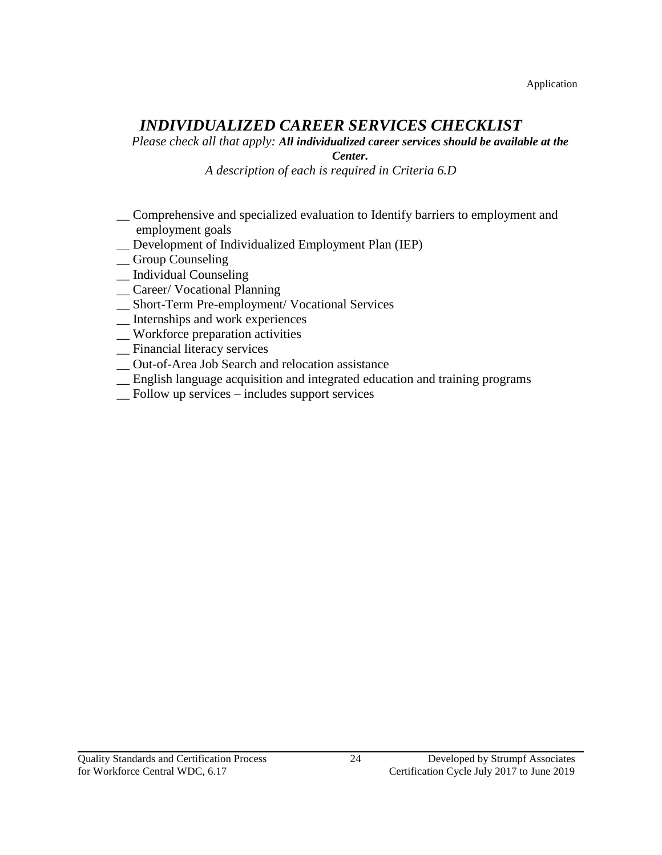# *INDIVIDUALIZED CAREER SERVICES CHECKLIST*

*Please check all that apply: All individualized career services should be available at the* 

*Center.*

*A description of each is required in Criteria 6.D*

- \_\_ Comprehensive and specialized evaluation to Identify barriers to employment and employment goals
- \_\_ Development of Individualized Employment Plan (IEP)
- \_\_ Group Counseling
- \_\_ Individual Counseling
- \_\_ Career/ Vocational Planning
- \_\_ Short-Term Pre-employment/ Vocational Services
- \_\_ Internships and work experiences
- \_\_ Workforce preparation activities
- \_\_ Financial literacy services
- \_\_ Out-of-Area Job Search and relocation assistance
- \_\_ English language acquisition and integrated education and training programs
- \_\_ Follow up services includes support services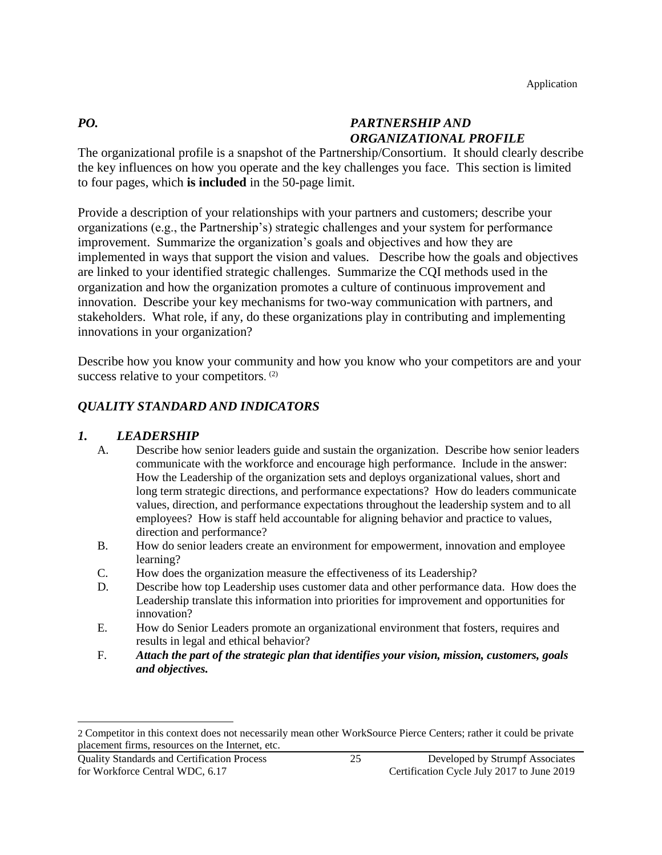# *PO. PARTNERSHIP AND ORGANIZATIONAL PROFILE*

The organizational profile is a snapshot of the Partnership/Consortium. It should clearly describe the key influences on how you operate and the key challenges you face. This section is limited to four pages, which **is included** in the 50-page limit.

Provide a description of your relationships with your partners and customers; describe your organizations (e.g., the Partnership's) strategic challenges and your system for performance improvement. Summarize the organization's goals and objectives and how they are implemented in ways that support the vision and values. Describe how the goals and objectives are linked to your identified strategic challenges. Summarize the CQI methods used in the organization and how the organization promotes a culture of continuous improvement and innovation. Describe your key mechanisms for two-way communication with partners, and stakeholders. What role, if any, do these organizations play in contributing and implementing innovations in your organization?

Describe how you know your community and how you know who your competitors are and your success relative to your competitors.<sup>(2)</sup>

# *QUALITY STANDARD AND INDICATORS*

# *1. LEADERSHIP*

- A. Describe how senior leaders guide and sustain the organization. Describe how senior leaders communicate with the workforce and encourage high performance. Include in the answer: How the Leadership of the organization sets and deploys organizational values, short and long term strategic directions, and performance expectations? How do leaders communicate values, direction, and performance expectations throughout the leadership system and to all employees? How is staff held accountable for aligning behavior and practice to values, direction and performance?
- B. How do senior leaders create an environment for empowerment, innovation and employee learning?
- C. How does the organization measure the effectiveness of its Leadership?
- D. Describe how top Leadership uses customer data and other performance data. How does the Leadership translate this information into priorities for improvement and opportunities for innovation?
- E. How do Senior Leaders promote an organizational environment that fosters, requires and results in legal and ethical behavior?
- F. *Attach the part of the strategic plan that identifies your vision, mission, customers, goals and objectives.*

l

<sup>2</sup> Competitor in this context does not necessarily mean other WorkSource Pierce Centers; rather it could be private placement firms, resources on the Internet, etc.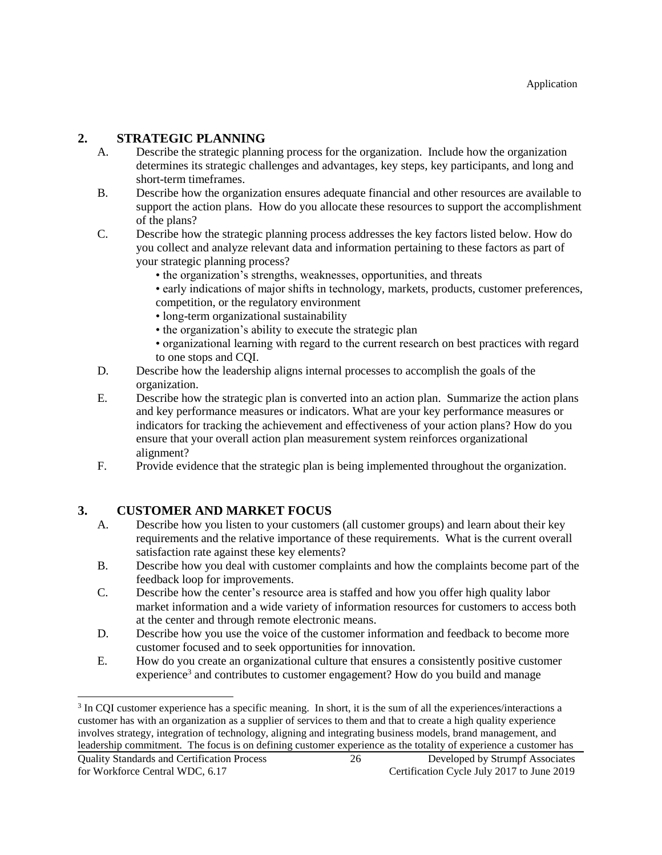# **2. STRATEGIC PLANNING**

- A. Describe the strategic planning process for the organization. Include how the organization determines its strategic challenges and advantages, key steps, key participants, and long and short-term timeframes.
- B. Describe how the organization ensures adequate financial and other resources are available to support the action plans. How do you allocate these resources to support the accomplishment of the plans?
- C. Describe how the strategic planning process addresses the key factors listed below. How do you collect and analyze relevant data and information pertaining to these factors as part of your strategic planning process?
	- the organization's strengths, weaknesses, opportunities, and threats
	- early indications of major shifts in technology, markets, products, customer preferences, competition, or the regulatory environment
	- long-term organizational sustainability
	- the organization's ability to execute the strategic plan
	- organizational learning with regard to the current research on best practices with regard to one stops and CQI.
- D. Describe how the leadership aligns internal processes to accomplish the goals of the organization.
- E. Describe how the strategic plan is converted into an action plan. Summarize the action plans and key performance measures or indicators. What are your key performance measures or indicators for tracking the achievement and effectiveness of your action plans? How do you ensure that your overall action plan measurement system reinforces organizational alignment?
- F. Provide evidence that the strategic plan is being implemented throughout the organization.

# **3. CUSTOMER AND MARKET FOCUS**

- A. Describe how you listen to your customers (all customer groups) and learn about their key requirements and the relative importance of these requirements. What is the current overall satisfaction rate against these key elements?
- B. Describe how you deal with customer complaints and how the complaints become part of the feedback loop for improvements.
- C. Describe how the center's resource area is staffed and how you offer high quality labor market information and a wide variety of information resources for customers to access both at the center and through remote electronic means.
- D. Describe how you use the voice of the customer information and feedback to become more customer focused and to seek opportunities for innovation.
- E. How do you create an organizational culture that ensures a consistently positive customer experience<sup>3</sup> and contributes to customer engagement? How do you build and manage

 $\overline{a}$ 

<sup>&</sup>lt;sup>3</sup> In CQI customer experience has a specific meaning. In short, it is the sum of all the experiences/interactions a customer has with an organization as a supplier of services to them and that to create a high quality experience involves strategy, integration of technology, aligning and integrating business models, brand management, and leadership commitment. The focus is on defining customer experience as the totality of experience a customer has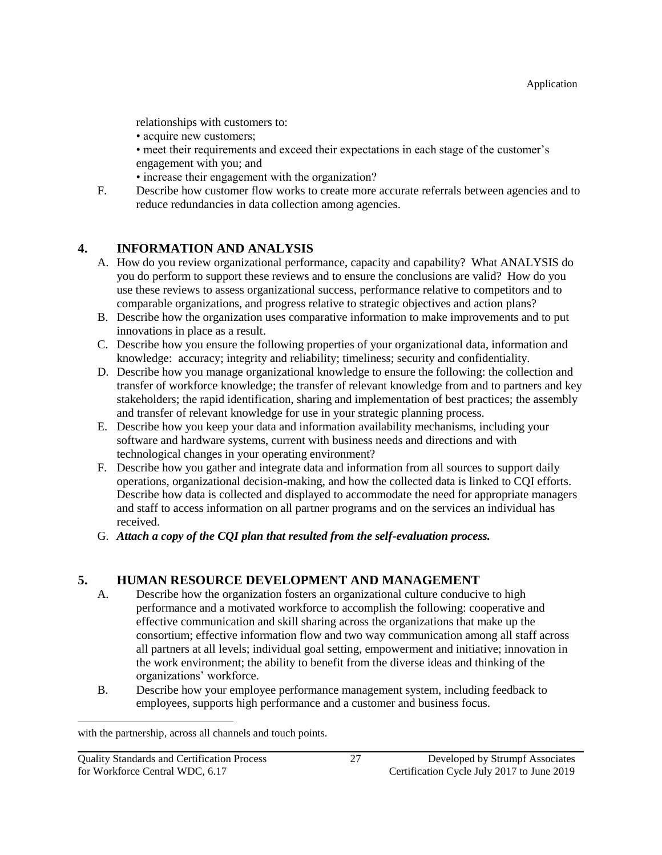relationships with customers to:

• acquire new customers;

• meet their requirements and exceed their expectations in each stage of the customer's engagement with you; and

- increase their engagement with the organization?
- F. Describe how customer flow works to create more accurate referrals between agencies and to reduce redundancies in data collection among agencies.

# **4. INFORMATION AND ANALYSIS**

- A. How do you review organizational performance, capacity and capability? What ANALYSIS do you do perform to support these reviews and to ensure the conclusions are valid? How do you use these reviews to assess organizational success, performance relative to competitors and to comparable organizations, and progress relative to strategic objectives and action plans?
- B. Describe how the organization uses comparative information to make improvements and to put innovations in place as a result.
- C. Describe how you ensure the following properties of your organizational data, information and knowledge: accuracy; integrity and reliability; timeliness; security and confidentiality.
- D. Describe how you manage organizational knowledge to ensure the following: the collection and transfer of workforce knowledge; the transfer of relevant knowledge from and to partners and key stakeholders; the rapid identification, sharing and implementation of best practices; the assembly and transfer of relevant knowledge for use in your strategic planning process.
- E. Describe how you keep your data and information availability mechanisms, including your software and hardware systems, current with business needs and directions and with technological changes in your operating environment?
- F. Describe how you gather and integrate data and information from all sources to support daily operations, organizational decision-making, and how the collected data is linked to CQI efforts. Describe how data is collected and displayed to accommodate the need for appropriate managers and staff to access information on all partner programs and on the services an individual has received.
- G. *Attach a copy of the CQI plan that resulted from the self-evaluation process.*

# **5. HUMAN RESOURCE DEVELOPMENT AND MANAGEMENT**

- A. Describe how the organization fosters an organizational culture conducive to high performance and a motivated workforce to accomplish the following: cooperative and effective communication and skill sharing across the organizations that make up the consortium; effective information flow and two way communication among all staff across all partners at all levels; individual goal setting, empowerment and initiative; innovation in the work environment; the ability to benefit from the diverse ideas and thinking of the organizations' workforce.
- B. Describe how your employee performance management system, including feedback to employees, supports high performance and a customer and business focus.

l

with the partnership, across all channels and touch points.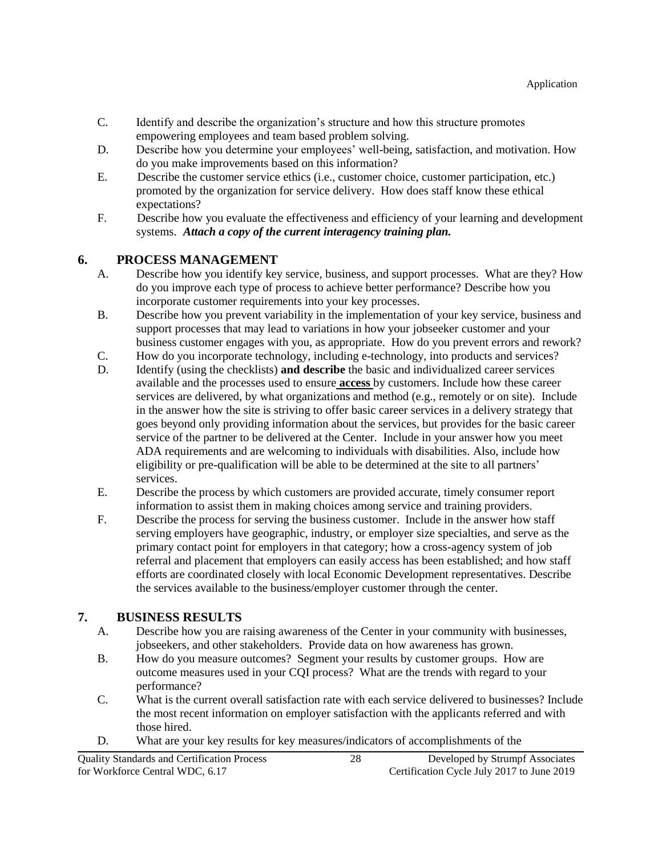- C. Identify and describe the organization's structure and how this structure promotes empowering employees and team based problem solving.
- D. Describe how you determine your employees' well-being, satisfaction, and motivation. How do you make improvements based on this information?
- E. Describe the customer service ethics (i.e., customer choice, customer participation, etc.) promoted by the organization for service delivery. How does staff know these ethical expectations?
- F. Describe how you evaluate the effectiveness and efficiency of your learning and development systems. *Attach a copy of the current interagency training plan.*

#### **6. PROCESS MANAGEMENT**

- A. Describe how you identify key service, business, and support processes. What are they? How do you improve each type of process to achieve better performance? Describe how you incorporate customer requirements into your key processes.
- B. Describe how you prevent variability in the implementation of your key service, business and support processes that may lead to variations in how your jobseeker customer and your business customer engages with you, as appropriate. How do you prevent errors and rework?
- C. How do you incorporate technology, including e-technology, into products and services?
- D. Identify (using the checklists) **and describe** the basic and individualized career services available and the processes used to ensure **access** by customers. Include how these career services are delivered, by what organizations and method (e.g., remotely or on site). Include in the answer how the site is striving to offer basic career services in a delivery strategy that goes beyond only providing information about the services, but provides for the basic career service of the partner to be delivered at the Center. Include in your answer how you meet ADA requirements and are welcoming to individuals with disabilities. Also, include how eligibility or pre-qualification will be able to be determined at the site to all partners' services.
- E. Describe the process by which customers are provided accurate, timely consumer report information to assist them in making choices among service and training providers.
- F. Describe the process for serving the business customer. Include in the answer how staff serving employers have geographic, industry, or employer size specialties, and serve as the primary contact point for employers in that category; how a cross-agency system of job referral and placement that employers can easily access has been established; and how staff efforts are coordinated closely with local Economic Development representatives. Describe the services available to the business/employer customer through the center.

#### **7. BUSINESS RESULTS**

- A. Describe how you are raising awareness of the Center in your community with businesses, jobseekers, and other stakeholders. Provide data on how awareness has grown.
- B. How do you measure outcomes? Segment your results by customer groups. How are outcome measures used in your CQI process? What are the trends with regard to your performance?
- C. What is the current overall satisfaction rate with each service delivered to businesses? Include the most recent information on employer satisfaction with the applicants referred and with those hired.
- D. What are your key results for key measures/indicators of accomplishments of the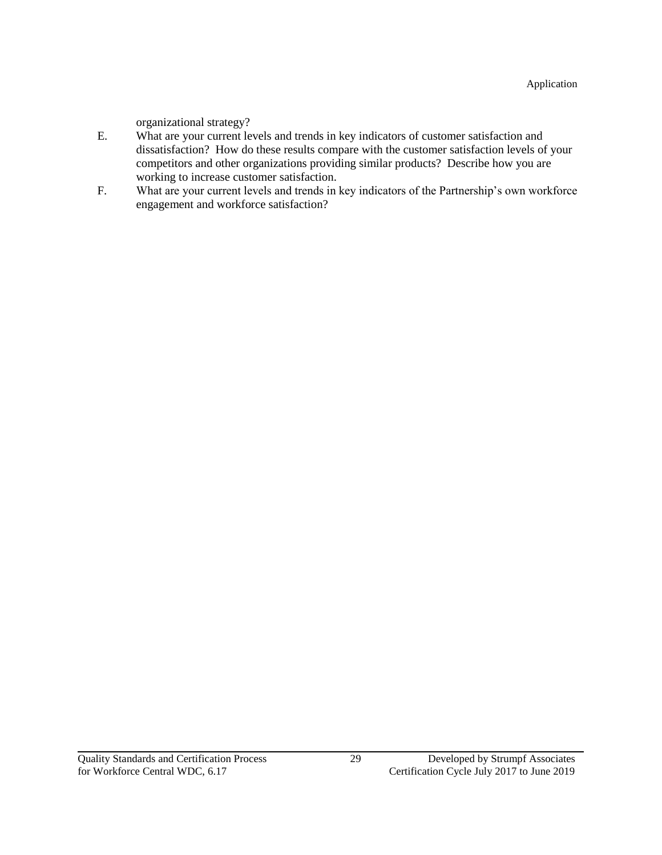organizational strategy?

- E. What are your current levels and trends in key indicators of customer satisfaction and dissatisfaction? How do these results compare with the customer satisfaction levels of your competitors and other organizations providing similar products? Describe how you are working to increase customer satisfaction.
- F. What are your current levels and trends in key indicators of the Partnership's own workforce engagement and workforce satisfaction?